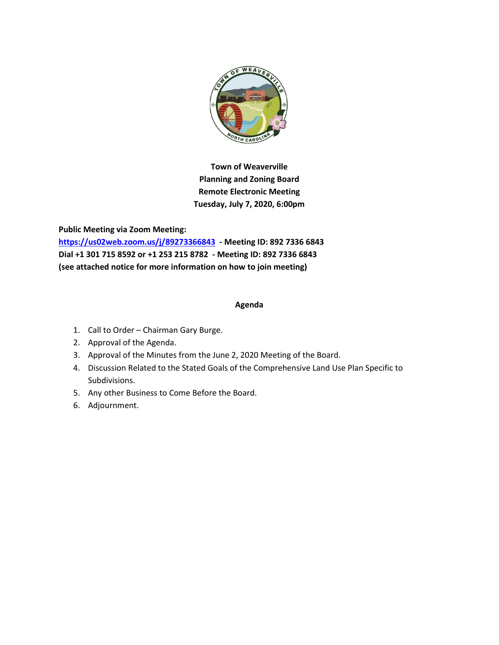

**Town of Weaverville Planning and Zoning Board Remote Electronic Meeting Tuesday, July 7, 2020, 6:00pm**

**Public Meeting via Zoom Meeting: <https://us02web.zoom.us/j/89273366843> - Meeting ID: 892 7336 6843 Dial +1 301 715 8592 or +1 253 215 8782 - Meeting ID: 892 7336 6843 (see attached notice for more information on how to join meeting)**

#### **Agenda**

- 1. Call to Order Chairman Gary Burge.
- 2. Approval of the Agenda.
- 3. Approval of the Minutes from the June 2, 2020 Meeting of the Board.
- 4. Discussion Related to the Stated Goals of the Comprehensive Land Use Plan Specific to Subdivisions.
- 5. Any other Business to Come Before the Board.
- 6. Adjournment.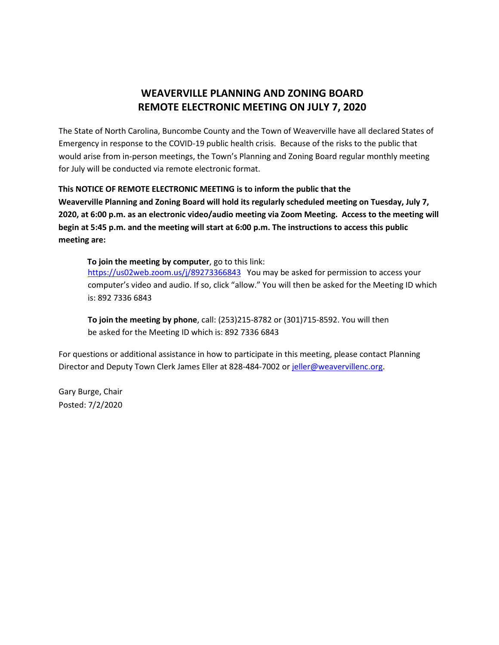## **WEAVERVILLE PLANNING AND ZONING BOARD REMOTE ELECTRONIC MEETING ON JULY 7, 2020**

The State of North Carolina, Buncombe County and the Town of Weaverville have all declared States of Emergency in response to the COVID-19 public health crisis. Because of the risks to the public that would arise from in-person meetings, the Town's Planning and Zoning Board regular monthly meeting for July will be conducted via remote electronic format.

#### **This NOTICE OF REMOTE ELECTRONIC MEETING is to inform the public that the**

**Weaverville Planning and Zoning Board will hold its regularly scheduled meeting on Tuesday, July 7, 2020, at 6:00 p.m. as an electronic video/audio meeting via Zoom Meeting. Access to the meeting will begin at 5:45 p.m. and the meeting will start at 6:00 p.m. The instructions to access this public meeting are:** 

**To join the meeting by computer**, go to this link: <https://us02web.zoom.us/j/89273366843> You may be asked for permission to access your computer's video and audio. If so, click "allow." You will then be asked for the Meeting ID which is: 892 7336 6843

**To join the meeting by phone**, call: (253)215-8782 or (301)715-8592. You will then be asked for the Meeting ID which is: 892 7336 6843

For questions or additional assistance in how to participate in this meeting, please contact Planning Director and Deputy Town Clerk James Eller at 828-484-7002 or [jeller@weavervillenc.org.](mailto:jeller@weavervillenc.org)

Gary Burge, Chair Posted: 7/2/2020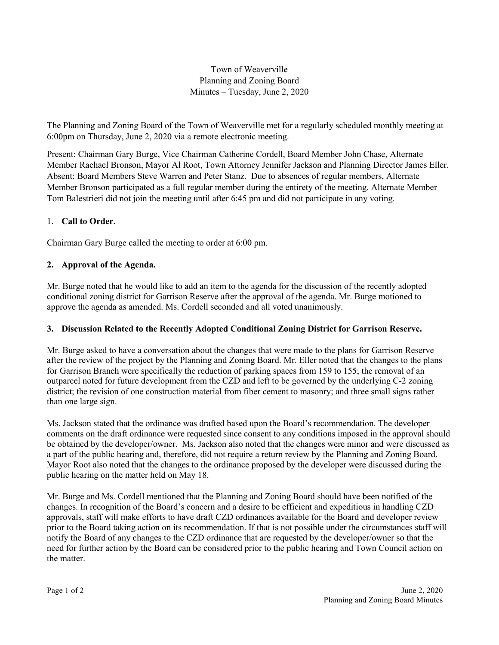## Town of Weaverville Planning and Zoning Board Minutes – Tuesday, June 2, 2020

The Planning and Zoning Board of the Town of Weaverville met for a regularly scheduled monthly meeting at 6:00pm on Thursday, June 2, 2020 via a remote electronic meeting.

Present: Chairman Gary Burge, Vice Chairman Catherine Cordell, Board Member John Chase, Alternate Member Rachael Bronson, Mayor Al Root, Town Attorney Jennifer Jackson and Planning Director James Eller. Absent: Board Members Steve Warren and Peter Stanz. Due to absences of regular members, Alternate Member Bronson participated as a full regular member during the entirety of the meeting. Alternate Member Tom Balestrieri did not join the meeting until after 6:45 pm and did not participate in any voting.

### 1. **Call to Order.**

Chairman Gary Burge called the meeting to order at 6:00 pm.

## **2. Approval of the Agenda.**

Mr. Burge noted that he would like to add an item to the agenda for the discussion of the recently adopted conditional zoning district for Garrison Reserve after the approval of the agenda. Mr. Burge motioned to approve the agenda as amended. Ms. Cordell seconded and all voted unanimously.

### **3. Discussion Related to the Recently Adopted Conditional Zoning District for Garrison Reserve.**

Mr. Burge asked to have a conversation about the changes that were made to the plans for Garrison Reserve after the review of the project by the Planning and Zoning Board. Mr. Eller noted that the changes to the plans for Garrison Branch were specifically the reduction of parking spaces from 159 to 155; the removal of an outparcel noted for future development from the CZD and left to be governed by the underlying C-2 zoning district; the revision of one construction material from fiber cement to masonry; and three small signs rather than one large sign.

Ms. Jackson stated that the ordinance was drafted based upon the Board's recommendation. The developer comments on the draft ordinance were requested since consent to any conditions imposed in the approval should be obtained by the developer/owner. Ms. Jackson also noted that the changes were minor and were discussed as a part of the public hearing and, therefore, did not require a return review by the Planning and Zoning Board. Mayor Root also noted that the changes to the ordinance proposed by the developer were discussed during the public hearing on the matter held on May 18.

Mr. Burge and Ms. Cordell mentioned that the Planning and Zoning Board should have been notified of the changes. In recognition of the Board's concern and a desire to be efficient and expeditious in handling CZD approvals, staff will make efforts to have draft CZD ordinances available for the Board and developer review prior to the Board taking action on its recommendation. If that is not possible under the circumstances staff will notify the Board of any changes to the CZD ordinance that are requested by the developer/owner so that the need for further action by the Board can be considered prior to the public hearing and Town Council action on the matter.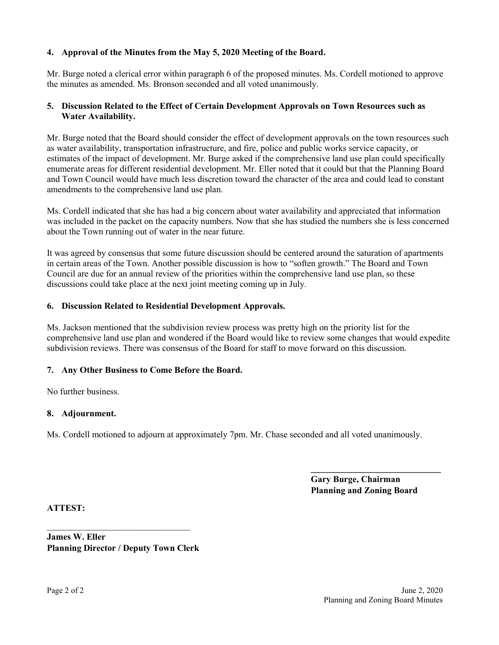### **4. Approval of the Minutes from the May 5, 2020 Meeting of the Board.**

Mr. Burge noted a clerical error within paragraph 6 of the proposed minutes. Ms. Cordell motioned to approve the minutes as amended. Ms. Bronson seconded and all voted unanimously.

#### **5. Discussion Related to the Effect of Certain Development Approvals on Town Resources such as Water Availability.**

Mr. Burge noted that the Board should consider the effect of development approvals on the town resources such as water availability, transportation infrastructure, and fire, police and public works service capacity, or estimates of the impact of development. Mr. Burge asked if the comprehensive land use plan could specifically enumerate areas for different residential development. Mr. Eller noted that it could but that the Planning Board and Town Council would have much less discretion toward the character of the area and could lead to constant amendments to the comprehensive land use plan.

Ms. Cordell indicated that she has had a big concern about water availability and appreciated that information was included in the packet on the capacity numbers. Now that she has studied the numbers she is less concerned about the Town running out of water in the near future.

It was agreed by consensus that some future discussion should be centered around the saturation of apartments in certain areas of the Town. Another possible discussion is how to "soften growth." The Board and Town Council are due for an annual review of the priorities within the comprehensive land use plan, so these discussions could take place at the next joint meeting coming up in July.

#### **6. Discussion Related to Residential Development Approvals.**

Ms. Jackson mentioned that the subdivision review process was pretty high on the priority list for the comprehensive land use plan and wondered if the Board would like to review some changes that would expedite subdivision reviews. There was consensus of the Board for staff to move forward on this discussion.

### **7. Any Other Business to Come Before the Board.**

No further business.

#### **8. Adjournment.**

Ms. Cordell motioned to adjourn at approximately 7pm. Mr. Chase seconded and all voted unanimously.

**Gary Burge, Chairman Planning and Zoning Board**

**\_\_\_\_\_\_\_\_\_\_\_\_\_\_\_\_\_\_\_\_\_\_\_\_\_\_\_\_\_**

**ATTEST:**

**James W. Eller Planning Director / Deputy Town Clerk**

\_\_\_\_\_\_\_\_\_\_\_\_\_\_\_\_\_\_\_\_\_\_\_\_\_\_\_\_\_\_\_\_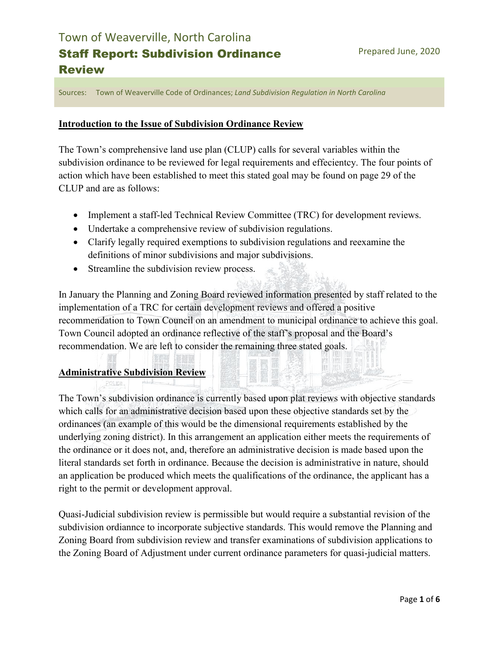Sources: Town of Weaverville Code of Ordinances; *Land Subdivision Regulation in North Carolina*

## **Introduction to the Issue of Subdivision Ordinance Review**

The Town's comprehensive land use plan (CLUP) calls for several variables within the subdivision ordinance to be reviewed for legal requirements and effecientcy. The four points of action which have been established to meet this stated goal may be found on page 29 of the CLUP and are as follows:

- Implement a staff-led Technical Review Committee (TRC) for development reviews.
- Undertake a comprehensive review of subdivision regulations.
- Clarify legally required exemptions to subdivision regulations and reexamine the definitions of minor subdivisions and major subdivisions.
- Streamline the subdivision review process.

In January the Planning and Zoning Board reviewed information presented by staff related to the implementation of a TRC for certain development reviews and offered a positive recommendation to Town Council on an amendment to municipal ordinance to achieve this goal. Town Council adopted an ordinance reflective of the staff's proposal and the Board's recommendation. We are left to consider the remaining three stated goals.

## **Administrative Subdivision Review**

The Town's subdivision ordinance is currently based upon plat reviews with objective standards which calls for an administrative decision based upon these objective standards set by the ordinances (an example of this would be the dimensional requirements established by the underlying zoning district). In this arrangement an application either meets the requirements of the ordinance or it does not, and, therefore an administrative decision is made based upon the literal standards set forth in ordinance. Because the decision is administrative in nature, should an application be produced which meets the qualifications of the ordinance, the applicant has a right to the permit or development approval.

Quasi-Judicial subdivision review is permissible but would require a substantial revision of the subdivision ordiannce to incorporate subjective standards. This would remove the Planning and Zoning Board from subdivision review and transfer examinations of subdivision applications to the Zoning Board of Adjustment under current ordinance parameters for quasi-judicial matters.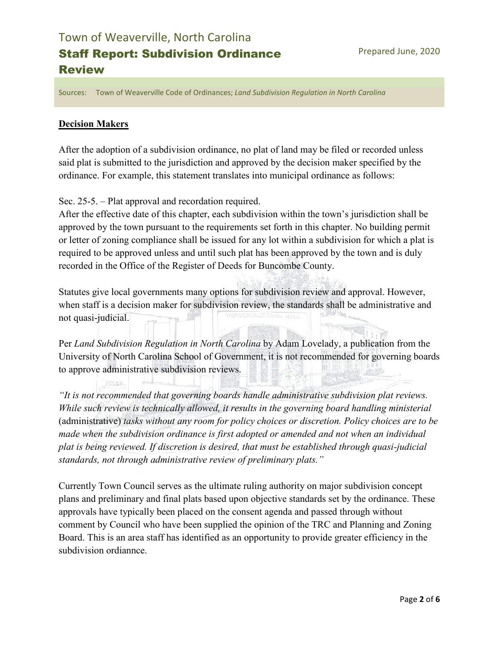Sources: Town of Weaverville Code of Ordinances; *Land Subdivision Regulation in North Carolina*

## **Decision Makers**

After the adoption of a subdivision ordinance, no plat of land may be filed or recorded unless said plat is submitted to the jurisdiction and approved by the decision maker specified by the ordinance. For example, this statement translates into municipal ordinance as follows:

Sec. 25-5. – Plat approval and recordation required.

After the effective date of this chapter, each subdivision within the town's jurisdiction shall be approved by the town pursuant to the requirements set forth in this chapter. No building permit or letter of zoning compliance shall be issued for any lot within a subdivision for which a plat is required to be approved unless and until such plat has been approved by the town and is duly recorded in the Office of the Register of Deeds for Buncombe County.

Statutes give local governments many options for subdivision review and approval. However, when staff is a decision maker for subdivision review, the standards shall be administrative and not quasi-judicial.

Per *Land Subdivision Regulation in North Carolina* by Adam Lovelady, a publication from the University of North Carolina School of Government, it is not recommended for governing boards to approve administrative subdivision reviews.

*"It is not recommended that governing boards handle administrative subdivision plat reviews. While such review is technically allowed, it results in the governing board handling ministerial*  (administrative) *tasks without any room for policy choices or discretion. Policy choices are to be made when the subdivision ordinance is first adopted or amended and not when an individual plat is being reviewed. If discretion is desired, that must be established through quasi-judicial standards, not through administrative review of preliminary plats."*

Currently Town Council serves as the ultimate ruling authority on major subdivision concept plans and preliminary and final plats based upon objective standards set by the ordinance. These approvals have typically been placed on the consent agenda and passed through without comment by Council who have been supplied the opinion of the TRC and Planning and Zoning Board. This is an area staff has identified as an opportunity to provide greater efficiency in the subdivision ordiannce.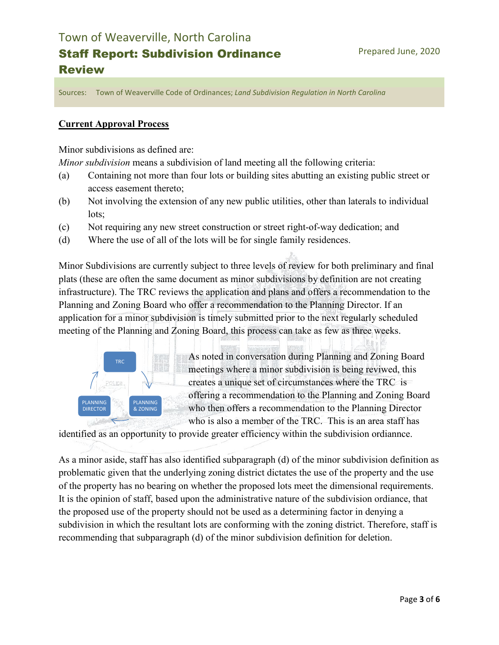Sources: Town of Weaverville Code of Ordinances; *Land Subdivision Regulation in North Carolina*

## **Current Approval Process**

Minor subdivisions as defined are:

*Minor subdivision* means a subdivision of land meeting all the following criteria:

- (a) Containing not more than four lots or building sites abutting an existing public street or access easement thereto;
- (b) Not involving the extension of any new public utilities, other than laterals to individual lots;
- (c) Not requiring any new street construction or street right-of-way dedication; and
- (d) Where the use of all of the lots will be for single family residences.

Minor Subdivisions are currently subject to three levels of review for both preliminary and final plats (these are often the same document as minor subdivisions by definition are not creating infrastructure). The TRC reviews the application and plans and offers a recommendation to the Planning and Zoning Board who offer a recommendation to the Planning Director. If an application for a minor subdivision is timely submitted prior to the next regularly scheduled meeting of the Planning and Zoning Board, this process can take as few as three weeks.



As noted in conversation during Planning and Zoning Board meetings where a minor subdivision is being reviwed, this creates a unique set of circumstances where the TRC is offering a recommendation to the Planning and Zoning Board who then offers a recommendation to the Planning Director who is also a member of the TRC. This is an area staff has

identified as an opportunity to provide greater efficiency within the subdivision ordiannce.

As a minor aside, staff has also identified subparagraph (d) of the minor subdivision definition as problematic given that the underlying zoning district dictates the use of the property and the use of the property has no bearing on whether the proposed lots meet the dimensional requirements. It is the opinion of staff, based upon the administrative nature of the subdivision ordiance, that the proposed use of the property should not be used as a determining factor in denying a subdivision in which the resultant lots are conforming with the zoning district. Therefore, staff is recommending that subparagraph (d) of the minor subdivision definition for deletion.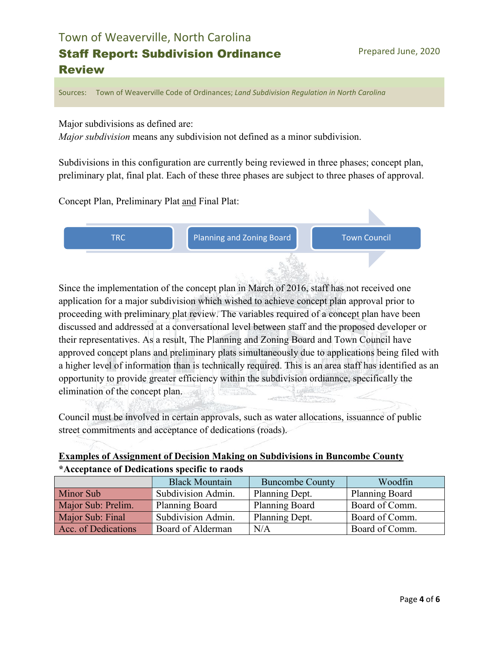Sources: Town of Weaverville Code of Ordinances; *Land Subdivision Regulation in North Carolina*

Major subdivisions as defined are:

*Major subdivision* means any subdivision not defined as a minor subdivision.

Subdivisions in this configuration are currently being reviewed in three phases; concept plan, preliminary plat, final plat. Each of these three phases are subject to three phases of approval.

Concept Plan, Preliminary Plat and Final Plat:



Since the implementation of the concept plan in March of 2016, staff has not received one application for a major subdivision which wished to achieve concept plan approval prior to proceeding with preliminary plat review. The variables required of a concept plan have been discussed and addressed at a conversational level between staff and the proposed developer or their representatives. As a result, The Planning and Zoning Board and Town Council have approved concept plans and preliminary plats simultaneously due to applications being filed with a higher level of information than is technically required. This is an area staff has identified as an opportunity to provide greater efficiency within the subdivision ordiannce, specifically the elimination of the concept plan.

Council must be involved in certain approvals, such as water allocations, issuannce of public street commitments and acceptance of dedications (roads).

| <b>Examples of Assignment of Decision Making on Subdivisions in Buncombe County</b> |
|-------------------------------------------------------------------------------------|
| *Acceptance of Dedications specific to raods                                        |

|                     | <b>Black Mountain</b> | <b>Buncombe County</b> | Woodfin               |
|---------------------|-----------------------|------------------------|-----------------------|
| <b>Minor Sub</b>    | Subdivision Admin.    | Planning Dept.         | <b>Planning Board</b> |
| Major Sub: Prelim.  | Planning Board        | <b>Planning Board</b>  | Board of Comm.        |
| Major Sub: Final    | Subdivision Admin.    | Planning Dept.         | Board of Comm.        |
| Acc. of Dedications | Board of Alderman     | N/A                    | Board of Comm.        |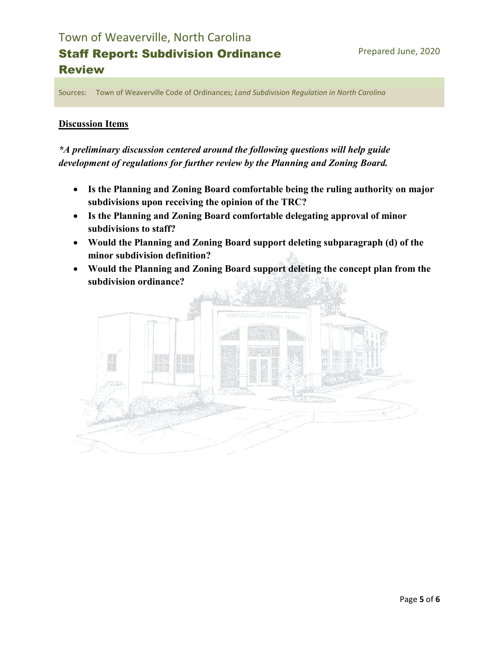Sources: Town of Weaverville Code of Ordinances; *Land Subdivision Regulation in North Carolina*

### **Discussion Items**

## *\*A preliminary discussion centered around the following questions will help guide development of regulations for further review by the Planning and Zoning Board.*

- **Is the Planning and Zoning Board comfortable being the ruling authority on major subdivisions upon receiving the opinion of the TRC?**
- **Is the Planning and Zoning Board comfortable delegating approval of minor subdivisions to staff?**
- **Would the Planning and Zoning Board support deleting subparagraph (d) of the minor subdivision definition?**
- **Would the Planning and Zoning Board support deleting the concept plan from the subdivision ordinance?**